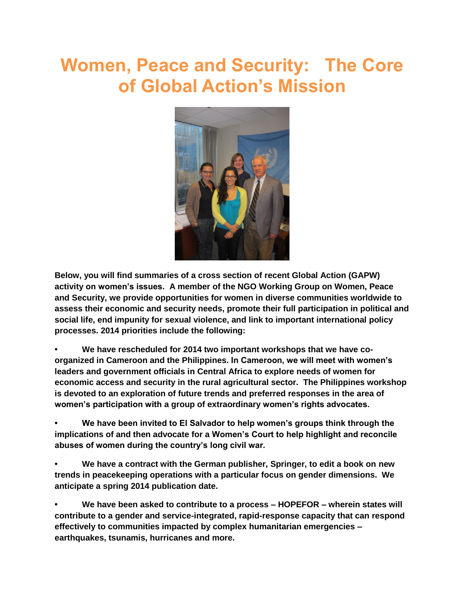# **Women, Peace and Security: The Core of Global Action's Mission**



**Below, you will find summaries of a cross section of recent Global Action (GAPW) activity on women's issues. A member of the NGO Working Group on Women, Peace and Security, we provide opportunities for women in diverse communities worldwide to assess their economic and security needs, promote their full participation in political and social life, end impunity for sexual violence, and link to important international policy processes. 2014 priorities include the following:**

**• We have rescheduled for 2014 two important workshops that we have coorganized in Cameroon and the Philippines. In Cameroon, we will meet with women's leaders and government officials in Central Africa to explore needs of women for economic access and security in the rural agricultural sector. The Philippines workshop is devoted to an exploration of future trends and preferred responses in the area of women's participation with a group of extraordinary women's rights advocates.** 

**• We have been invited to El Salvador to help women's groups think through the implications of and then advocate for a Women's Court to help highlight and reconcile abuses of women during the country's long civil war.** 

**• We have a contract with the German publisher, Springer, to edit a book on new trends in peacekeeping operations with a particular focus on gender dimensions. We anticipate a spring 2014 publication date.** 

**• We have been asked to contribute to a process – HOPEFOR – wherein states will contribute to a gender and service-integrated, rapid-response capacity that can respond effectively to communities impacted by complex humanitarian emergencies – earthquakes, tsunamis, hurricanes and more.**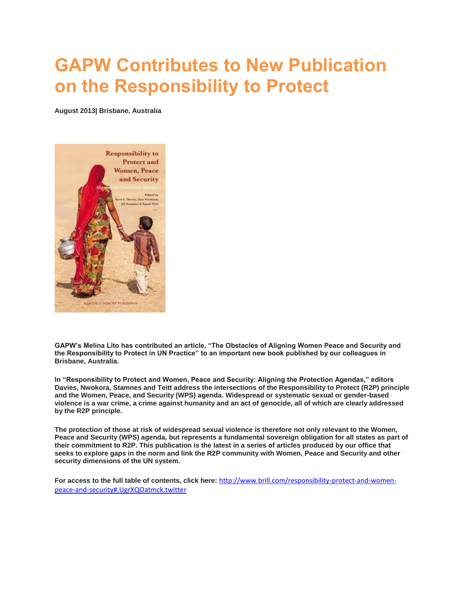### **GAPW Contributes to New Publication on the Responsibility to Protect**

**August 2013| Brisbane, Australia**



**GAPW's Melina Lito has contributed an article, "The Obstacles of Aligning Women Peace and Security and the Responsibility to Protect in UN Practice" to an important new book published by our colleagues in Brisbane, Australia.** 

**In "Responsibility to Protect and Women, Peace and Security: Aligning the Protection Agendas," editors Davies, Nwokora, Stamnes and Teitt address the intersections of the Responsibility to Protect (R2P) principle and the Women, Peace, and Security (WPS) agenda. Widespread or systematic sexual or gender-based violence is a war crime, a crime against humanity and an act of genocide, all of which are clearly addressed by the R2P principle.** 

**The protection of those at risk of widespread sexual violence is therefore not only relevant to the Women, Peace and Security (WPS) agenda, but represents a fundamental sovereign obligation for all states as part of their commitment to R2P. This publication is the latest in a series of articles produced by our office that seeks to explore gaps in the norm and link the R2P community with Women, Peace and Security and other security dimensions of the UN system.** 

**For access to the full table of contents, click here:** [http://www.brill.com/responsibility-protect-and-women](http://www.brill.com/responsibility-protect-and-women-peace-and-security#.UgrXQOatmck.twitter)[peace-and-security#.UgrXQOatmck.twitter](http://www.brill.com/responsibility-protect-and-women-peace-and-security#.UgrXQOatmck.twitter)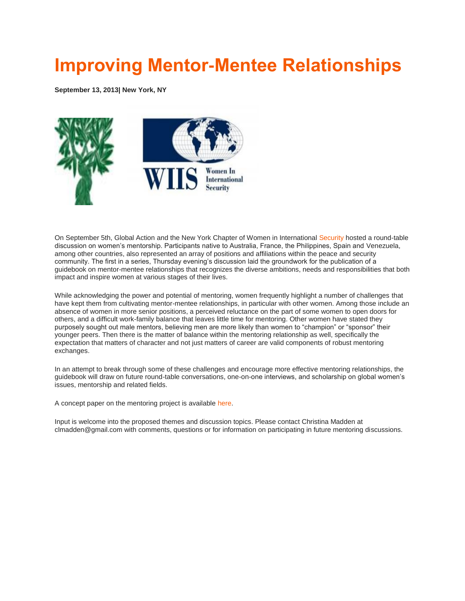#### **[Improving Mentor-Mentee Relationships](http://www.globalactionpw.org/?p=4286)**

**September 13, 2013| New York, NY**



On September 5th, Global Action and the New York Chapter of Women in International [Security](http://wiisglobal.org/wordpress1/) hosted a round-table discussion on women's mentorship. Participants native to Australia, France, the Philippines, Spain and Venezuela, among other countries, also represented an array of positions and affiliations within the peace and security community. The first in a series, Thursday evening's discussion laid the groundwork for the publication of a guidebook on mentor-mentee relationships that recognizes the diverse ambitions, needs and responsibilities that both impact and inspire women at various stages of their lives.

While acknowledging the power and potential of mentoring, women frequently highlight a number of challenges that have kept them from cultivating mentor-mentee relationships, in particular with other women. Among those include an absence of women in more senior positions, a perceived reluctance on the part of some women to open doors for others, and a difficult work-family balance that leaves little time for mentoring. Other women have stated they purposely sought out male mentors, believing men are more likely than women to "champion" or "sponsor" their younger peers. Then there is the matter of balance within the mentoring relationship as well, specifically the expectation that matters of character and not just matters of career are valid components of robust mentoring exchanges.

In an attempt to break through some of these challenges and encourage more effective mentoring relationships, the guidebook will draw on future round-table conversations, one-on-one interviews, and scholarship on global women's issues, mentorship and related fields.

A concept paper on the mentoring project is available [here.](http://www.globalactionpw.org/?attachment_id=4289)

Input is welcome into the proposed themes and discussion topics. Please contact Christina Madden at clmadden@gmail.com with comments, questions or for information on participating in future mentoring discussions.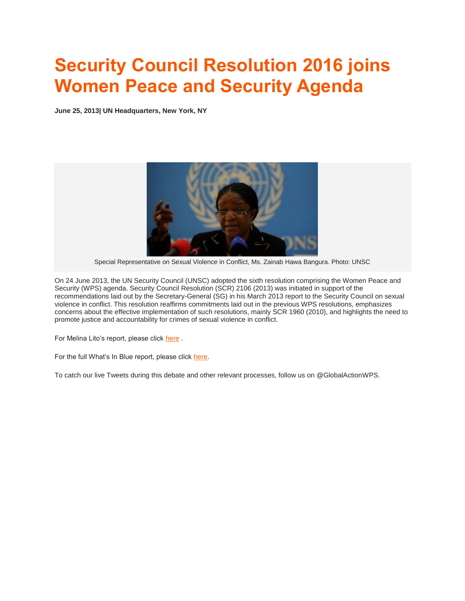# **[Security Council Resolution 2016 joins](http://www.globalactionpw.org/?p=4218)  [Women Peace and Security Agenda](http://www.globalactionpw.org/?p=4218)**

**June 25, 2013| UN Headquarters, New York, NY**



Special Representative on Sexual Violence in Conflict, Ms. Zainab Hawa Bangura. Photo: UNSC

On 24 June 2013, the UN Security Council (UNSC) adopted the sixth resolution comprising the Women Peace and Security (WPS) agenda. Security Council Resolution (SCR) 2106 (2013) was initiated in support of the recommendations laid out by the Secretary-General (SG) in his March 2013 report to the Security Council on sexual violence in conflict. This resolution reaffirms commitments laid out in the previous WPS resolutions, emphasizes concerns about the effective implementation of such resolutions, mainly SCR 1960 (2010), and highlights the need to promote justice and accountability for crimes of sexual violence in conflict.

For Melina Lito's report, please click [here](http://www.globalactionpw.org/?attachment_id=4283).

For the full What's In Blue report, please click [here.](http://www.whatsinblue.org/2013/06/open-debate-on-prevention-of-sexual-violence.php)

To catch our live Tweets during this debate and other relevant processes, follow us on @GlobalActionWPS.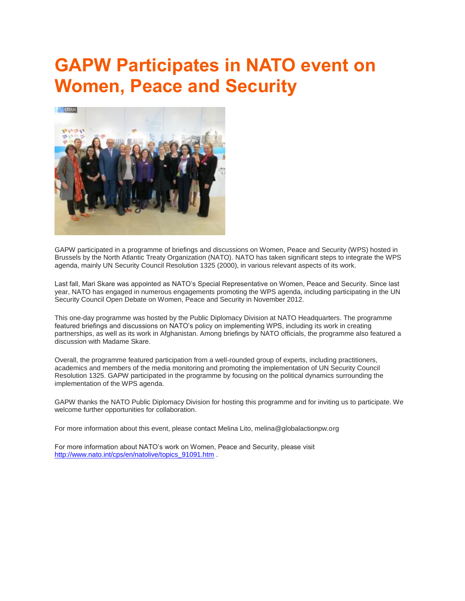# **[GAPW Participates in NATO event on](http://www.globalactionpw.org/?p=4175)  [Women, Peace and Security](http://www.globalactionpw.org/?p=4175)**



GAPW participated in a programme of briefings and discussions on Women, Peace and Security (WPS) hosted in Brussels by the North Atlantic Treaty Organization (NATO). NATO has taken significant steps to integrate the WPS agenda, mainly UN Security Council Resolution 1325 (2000), in various relevant aspects of its work.

Last fall, Mari Skare was appointed as NATO's Special Representative on Women, Peace and Security. Since last year, NATO has engaged in numerous engagements promoting the WPS agenda, including participating in the UN Security Council Open Debate on Women, Peace and Security in November 2012.

This one-day programme was hosted by the Public Diplomacy Division at NATO Headquarters. The programme featured briefings and discussions on NATO's policy on implementing WPS, including its work in creating partnerships, as well as its work in Afghanistan. Among briefings by NATO officials, the programme also featured a discussion with Madame Skare.

Overall, the programme featured participation from a well-rounded group of experts, including practitioners, academics and members of the media monitoring and promoting the implementation of UN Security Council Resolution 1325. GAPW participated in the programme by focusing on the political dynamics surrounding the implementation of the WPS agenda.

GAPW thanks the NATO Public Diplomacy Division for hosting this programme and for inviting us to participate. We welcome further opportunities for collaboration.

For more information about this event, please contact Melina Lito, melina@globalactionpw.org

For more information about NATO's work on Women, Peace and Security, please visit [http://www.nato.int/cps/en/natolive/topics\\_91091.htm](http://www.nato.int/cps/en/natolive/topics_91091.htm) .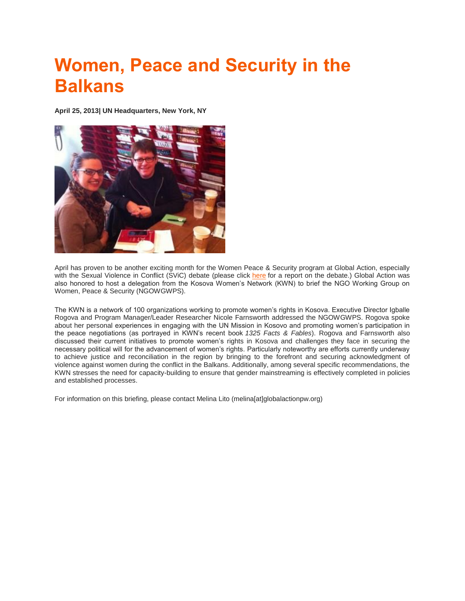# **Women, Peace and Security in the Balkans**

**April 25, 2013| UN Headquarters, New York, NY**



April has proven to be another exciting month for the Women Peace & Security program at Global Action, especially with the Sexual Violence in Conflict (SViC) debate (please click [here](http://www.globalactionpw.org/wp/wp-content/uploads/open-debate-on-sexual-violence-in-conflict.pdf) for a report on the debate.) Global Action was also honored to host a delegation from the Kosova Women's Network (KWN) to brief the NGO Working Group on Women, Peace & Security (NGOWGWPS).

The KWN is a network of 100 organizations working to promote women's rights in Kosova. Executive Director Igballe Rogova and Program Manager/Leader Researcher Nicole Farnsworth addressed the NGOWGWPS. Rogova spoke about her personal experiences in engaging with the UN Mission in Kosovo and promoting women's participation in the peace negotiations (as portrayed in KWN's recent book *1325 Facts & Fables*). Rogova and Farnsworth also discussed their current initiatives to promote women's rights in Kosova and challenges they face in securing the necessary political will for the advancement of women's rights. Particularly noteworthy are efforts currently underway to achieve justice and reconciliation in the region by bringing to the forefront and securing acknowledgment of violence against women during the conflict in the Balkans. Additionally, among several specific recommendations, the KWN stresses the need for capacity-building to ensure that gender mainstreaming is effectively completed in policies and established processes.

For information on this briefing, please contact Melina Lito (melina[at]globalactionpw.org)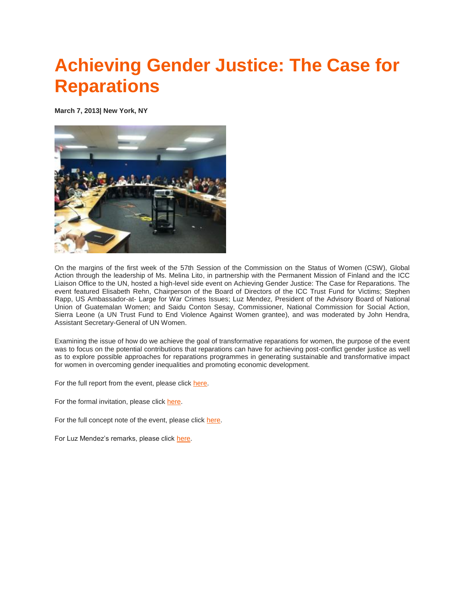### **[Achieving Gender Justice: The Case for](http://www.globalactionpw.org/?p=4052)  [Reparations](http://www.globalactionpw.org/?p=4052)**

**March 7, 2013| New York, NY**



On the margins of the first week of the 57th Session of the Commission on the Status of Women (CSW), Global Action through the leadership of Ms. Melina Lito, in partnership with the Permanent Mission of Finland and the ICC Liaison Office to the UN, hosted a high-level side event on Achieving Gender Justice: The Case for Reparations. The event featured Elisabeth Rehn, Chairperson of the Board of Directors of the ICC Trust Fund for Victims; Stephen Rapp, US Ambassador-at- Large for War Crimes Issues; Luz Mendez, President of the Advisory Board of National Union of Guatemalan Women; and Saidu Conton Sesay, Commissioner, National Commission for Social Action, Sierra Leone (a UN Trust Fund to End Violence Against Women grantee), and was moderated by John Hendra, Assistant Secretary-General of UN Women.

Examining the issue of how do we achieve the goal of transformative reparations for women, the purpose of the event was to focus on the potential contributions that reparations can have for achieving post-conflict gender justice as well as to explore possible approaches for reparations programmes in generating sustainable and transformative impact for women in overcoming gender inequalities and promoting economic development.

For the full report from the event, please click [here.](http://www.globalactionpw.org/wp/wp-content/uploads/achieving-gender-justice_event_report.pdf)

For the formal invitation, please click [here.](http://www.globalactionpw.org/wp/wp-content/uploads/reparation-invitation-march-2013.pdf)

For the full concept note of the event, please click [here.](http://www.globalactionpw.org/wp/wp-content/uploads/reparations-concept-note-march-7.pdf)

For Luz Mendez's remarks, please click [here.](http://www.globalactionpw.org/wp/wp-content/uploads/reparations_-panel_luz_mendez_remarks1.pdf)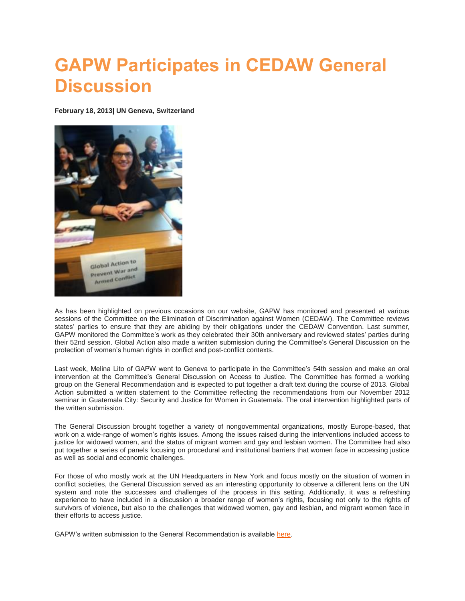#### **GAPW Participates in CEDAW General Discussion**

**February 18, 2013| UN Geneva, Switzerland**



As has been highlighted on previous occasions on our website, GAPW has monitored and presented at various sessions of the Committee on the Elimination of Discrimination against Women (CEDAW). The Committee reviews states' parties to ensure that they are abiding by their obligations under the CEDAW Convention. Last summer, GAPW monitored the Committee's work as they celebrated their 30th anniversary and reviewed states' parties during their 52nd session. Global Action also made a written submission during the Committee's General Discussion on the protection of women's human rights in conflict and post-conflict contexts.

Last week, Melina Lito of GAPW went to Geneva to participate in the Committee's 54th session and make an oral intervention at the Committee's General Discussion on Access to Justice. The Committee has formed a working group on the General Recommendation and is expected to put together a draft text during the course of 2013. Global Action submitted a written statement to the Committee reflecting the recommendations from our November 2012 seminar in Guatemala City: Security and Justice for Women in Guatemala. The oral intervention highlighted parts of the written submission.

The General Discussion brought together a variety of nongovernmental organizations, mostly Europe-based, that work on a wide-range of women's rights issues. Among the issues raised during the interventions included access to justice for widowed women, and the status of migrant women and gay and lesbian women. The Committee had also put together a series of panels focusing on procedural and institutional barriers that women face in accessing justice as well as social and economic challenges.

For those of who mostly work at the UN Headquarters in New York and focus mostly on the situation of women in conflict societies, the General Discussion served as an interesting opportunity to observe a different lens on the UN system and note the successes and challenges of the process in this setting. Additionally, it was a refreshing experience to have included in a discussion a broader range of women's rights, focusing not only to the rights of survivors of violence, but also to the challenges that widowed women, gay and lesbian, and migrant women face in their efforts to access justice.

GAPW's written submission to the General Recommendation is available [here.](http://www2.ohchr.org/english/bodies/cedaw/docs/Discussion2013/GlobalActionToPreventWar.pdf)